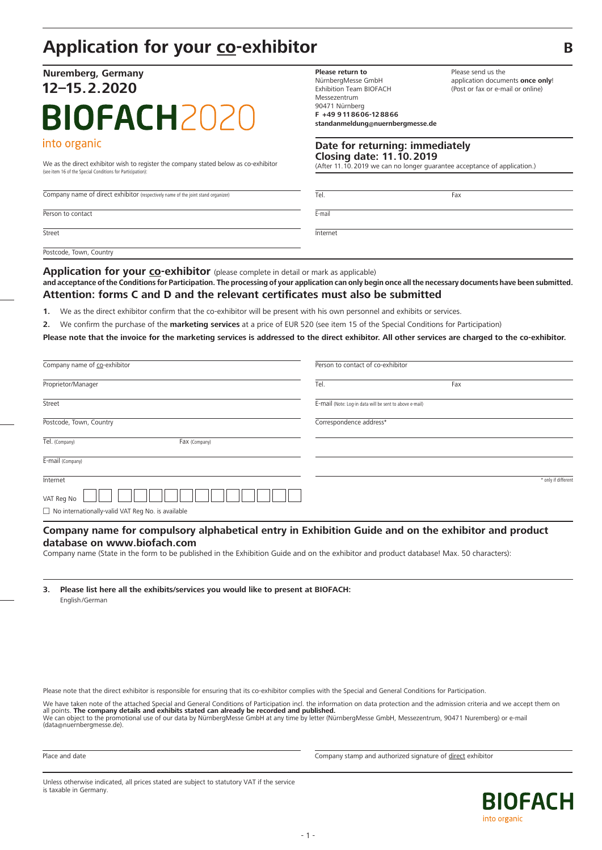# **Application for your co-exhibitor B**

# **Nuremberg, Germany 12–15.2.2020 BIOFACH202** into organic

We as the direct exhibitor wish to register the company stated below as co-exhibitor (After 11.10.2019 we can no longer guarantee acceptance of application.) (see item 16 of the Special Conditions for Participation):

Company name of direct exhibitor (respectively name of the joint stand organizer)

Person to contact

**Street** 

Postcode, Town, Country

**Application for your co-exhibitor** (please complete in detail or mark as applicable)

and acceptance of the Conditions for Participation. The processing of your application can only begin once all the necessary documents have been submitted. **Attention: forms C and D and the relevant certificates must also be submitted**

**1.** We as the direct exhibitor confirm that the co-exhibitor will be present with his own personnel and exhibits or services.

**2.** We confirm the purchase of the **marketing services** at a price of EUR 520 (see item 15 of the Special Conditions for Participation)

Please note that the invoice for the marketing services is addressed to the direct exhibitor. All other services are charged to the co-exhibitor.

| Company name of co-exhibitor                        | Person to contact of co-exhibitor                       |     |                     |
|-----------------------------------------------------|---------------------------------------------------------|-----|---------------------|
| Proprietor/Manager                                  | Tel.                                                    | Fax |                     |
| Street                                              | E-mail (Note: Log-in data will be sent to above e-mail) |     |                     |
| Postcode, Town, Country                             | Correspondence address*                                 |     |                     |
| Tel. (Company)<br>Fax (Company)                     |                                                         |     |                     |
| E-mail (Company)                                    |                                                         |     |                     |
| Internet                                            |                                                         |     | * only if different |
| VAT Reg No                                          |                                                         |     |                     |
| □ No internationally-valid VAT Reg No. is available |                                                         |     |                     |

## **Company name for compulsory alphabetical entry in Exhibition Guide and on the exhibitor and product database on www.biofach.com**

Company name (State in the form to be published in the Exhibition Guide and on the exhibitor and product database! Max. 50 characters):

**3. Please list here all the exhibits/services you would like to present at BIOFACH:** English/German

Please note that the direct exhibitor is responsible for ensuring that its co-exhibitor complies with the Special and General Conditions for Participation.

We have taken note of the attached Special and General Conditions of Participation incl. the information on data protection and the admission criteria and we accept them on all points. **The company details and exhibits stated can already be recorded and published.**

We can object to the promotional use of our data by NürnbergMesse GmbH at any time by letter (NürnbergMesse GmbH, Messezentrum, 90471 Nuremberg) or e-mail (data@nuernbergmesse.de).

Place and date **Company stamp and authorized signature of direct exhibitor** 

Unless otherwise indicated, all prices stated are subject to statutory VAT if the service is taxable in Germany.



Please send us the

application documents **once only**! (Post or fax or e-mail or online)

Tel. Fax

**Please return to** NürnbergMesse GmbH Exhibition Team BIOFACH Messezentrum 90471 Nürnberg **F +49 9118606-128866**

**standanmeldung@nuernbergmesse.de**

**Date for returning: immediately Closing date: 11.10.2019**

E-mail

Internet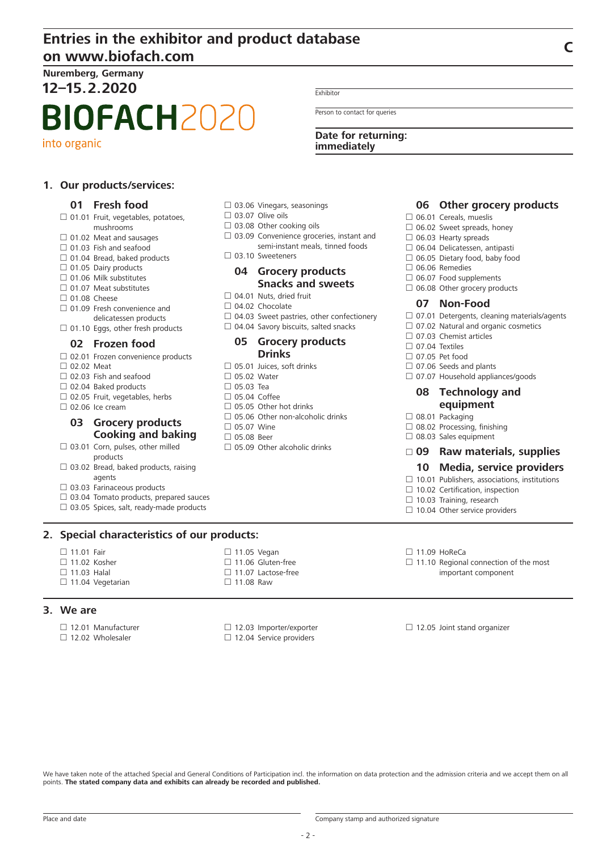# **Entries in the exhibitor and product database on www.biofach.com <sup>C</sup>**

**Nuremberg, Germany 12–15.2.2020**

# **BIOFACH2020**

into organic

## **1. Our products/services:**

## **01 Fresh food**

- $\Box$  01.01 Fruit, vegetables, potatoes, mushrooms  $\Box$  01.02 Meat and sausages  $\Box$  01.03 Fish and seafood  $\Box$  01.04 Bread, baked products  $\Box$  01.05 Dairy products  $\Box$  01.06 Milk substitutes  $\Box$  01.07 Meat substitutes □ 01.08 Cheese □ 01.09 Fresh convenience and delicatessen products  $\Box$  01.10 Eggs, other fresh products **02 Frozen food** □ 02.01 Frozen convenience products □ 02.02 Meat  $\Box$  02.03 Fish and seafood  $\Box$  02.04 Baked products  $\Box$  02.05 Fruit, vegetables, herbs  $\Box$  02.06 Ice cream **03 Grocery products Cooking and baking**  $\square$  03.01 Corn, pulses, other milled products  $\Box$  03.02 Bread, baked products, raising
- agents
- $\square$  03.03 Farinaceous products
- $\Box$  03.04 Tomato products, prepared sauces
- $\Box$  03.05 Spices, salt, ready-made products

## **2. Special characteristics of our products:**

- □ 11.01 Fair
- $\Box$  11.02 Kosher
- $\Box$  11.03 Halal
- $\Box$  11.04 Vegetarian

## **3. We are**

- □ 12.01 Manufacturer
- 

Exhibitor

Person to contact for queries

**Date for returning: immediately**

## **06 Other grocery products**

- $\Box$  06.01 Cereals, mueslis
- $\Box$  06.02 Sweet spreads, honey
- $\Box$  06.03 Hearty spreads
- 06.04 Delicatessen, antipasti
- $\Box$  06.05 Dietary food, baby food
- $\Box$  06.06 Remedies
- $\Box$  06.07 Food supplements
- $\Box$  06.08 Other grocery products

## **07 Non-Food**

- $\Box$  07.01 Detergents, cleaning materials/agents
- □ 07.02 Natural and organic cosmetics
- □ 07.03 Chemist articles
- $\Box$  07.04 Textiles
- □ 07.05 Pet food
- $\Box$  07.06 Seeds and plants
- $\Box$  07.07 Household appliances/goods

## **08 Technology and equipment**

- $\Box$  08.01 Packaging
- □ 08.02 Processing, finishing
- $\Box$  08.03 Sales equipment

## **09 Raw materials, supplies**

### **10 Media, service providers**

- $\Box$  10.01 Publishers, associations, institutions
- $\Box$  10.02 Certification, inspection
- $\Box$  10.03 Training, research
- $\Box$  10.04 Other service providers
- $\Box$  11.09 HoReCa
- $\Box$  11.10 Regional connection of the most important component
- $\Box$  12.05 Joint stand organizer

- $\Box$  03.06 Vinegars, seasonings □ 03.07 Olive oils
- 
- $\square$  03.08 Other cooking oils
- $\Box$  03.09 Convenience groceries, instant and semi-instant meals, tinned foods
- D<sub>03</sub>.10 Sweeteners

## **04 Grocery products Snacks and sweets**

- 04.01 Nuts, dried fruit
- $\Box$  04.02 Chocolate
- $\Box$  04.03 Sweet pastries, other confectionery
- $\Box$  04.04 Savory biscuits, salted snacks

## **05 Grocery products Drinks**

- $\Box$  05.01 Juices, soft drinks
- $\Box$  05.02 Water
- $\Box$  05.03 Tea
- $\Box$  05.04 Coffee
- $\Box$  05.05. Other hot drinks
- $\square$  05.06 Other non-alcoholic drinks
- $\Box$  05.07 Wine
- □ 05.08 Beer
- $\Box$  05.09 Other alcoholic drinks

□ 12.02 Wholesaler

□ 12.03 Importer/exporter  $\Box$  12.04 Service providers

- -
	-
	-
- 
- 
- - -
- 
- $\Box$  11.05 Vegan
	- $\Box$  11.06 Gluten-free
	-

□ 11.07 Lactose-free  $\Box$  11.08 Raw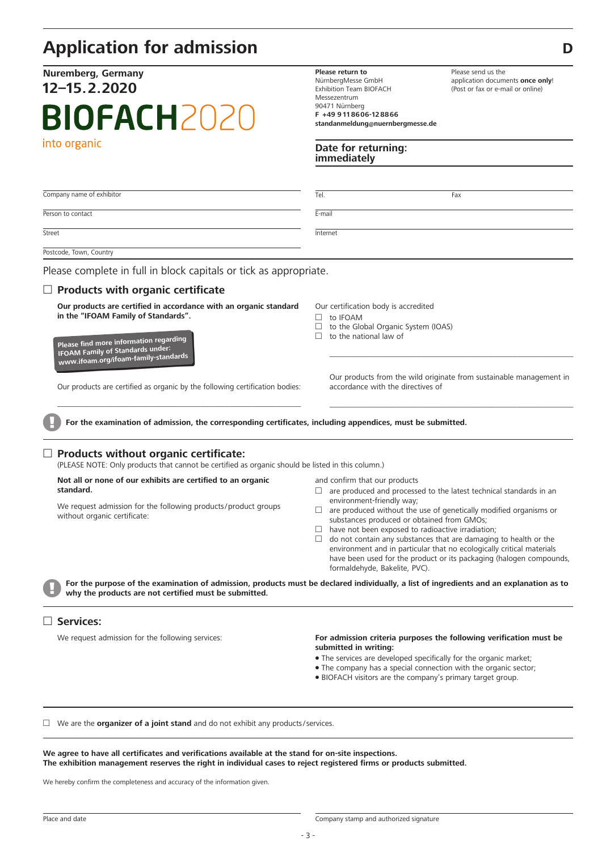# **Application for admission D**

# **Nuremberg, Germany 12–15.2.2020 BIOFACH2020** into organic

**Please return to** NürnbergMesse GmbH Exhibition Team BIOFACH Messezentrum 90471 Nürnberg **F +49 9118606-128866 standanmeldung@nuernbergmesse.de**

**Date for returning: immediately**

Please send us the application documents **once only**! (Post or fax or e-mail or online)

| Company name of exhibitor                                                                                                                                                                                                                                       | Tel.<br>Fax                                                                                                                                                                                                                                                                                                                                                                                                                                                                |
|-----------------------------------------------------------------------------------------------------------------------------------------------------------------------------------------------------------------------------------------------------------------|----------------------------------------------------------------------------------------------------------------------------------------------------------------------------------------------------------------------------------------------------------------------------------------------------------------------------------------------------------------------------------------------------------------------------------------------------------------------------|
| Person to contact                                                                                                                                                                                                                                               | E-mail                                                                                                                                                                                                                                                                                                                                                                                                                                                                     |
| Street                                                                                                                                                                                                                                                          | Internet                                                                                                                                                                                                                                                                                                                                                                                                                                                                   |
| Postcode, Town, Country                                                                                                                                                                                                                                         |                                                                                                                                                                                                                                                                                                                                                                                                                                                                            |
| Please complete in full in block capitals or tick as appropriate.                                                                                                                                                                                               |                                                                                                                                                                                                                                                                                                                                                                                                                                                                            |
| $\Box$ Products with organic certificate                                                                                                                                                                                                                        |                                                                                                                                                                                                                                                                                                                                                                                                                                                                            |
| Our products are certified in accordance with an organic standard<br>in the "IFOAM Family of Standards".<br>Please find more information regarding<br><b>IFOAM Family of Standards under:</b>                                                                   | Our certification body is accredited<br>to IFOAM<br>$\Box$<br>to the Global Organic System (IOAS)<br>□<br>to the national law of<br>П                                                                                                                                                                                                                                                                                                                                      |
| www.ifoam.org/ifoam-family-standards<br>Our products are certified as organic by the following certification bodies:                                                                                                                                            | Our products from the wild originate from sustainable management in<br>accordance with the directives of                                                                                                                                                                                                                                                                                                                                                                   |
| For the examination of admission, the corresponding certificates, including appendices, must be submitted.<br>$\Box$ Products without organic certificate:<br>(PLEASE NOTE: Only products that cannot be certified as organic should be listed in this column.) |                                                                                                                                                                                                                                                                                                                                                                                                                                                                            |
| Not all or none of our exhibits are certified to an organic<br>standard.                                                                                                                                                                                        | and confirm that our products<br>are produced and processed to the latest technical standards in an<br>$\Box$                                                                                                                                                                                                                                                                                                                                                              |
| We request admission for the following products/product groups<br>without organic certificate:                                                                                                                                                                  | environment-friendly way;<br>$\Box$ are produced without the use of genetically modified organisms or<br>substances produced or obtained from GMOs;<br>$\Box$ have not been exposed to radioactive irradiation;<br>do not contain any substances that are damaging to health or the<br>O.<br>environment and in particular that no ecologically critical materials<br>have been used for the product or its packaging (halogen compounds,<br>formaldehyde, Bakelite, PVC). |
| why the products are not certified must be submitted.                                                                                                                                                                                                           | For the purpose of the examination of admission, products must be declared individually, a list of ingredients and an explanation as to                                                                                                                                                                                                                                                                                                                                    |
| <b>Services:</b>                                                                                                                                                                                                                                                |                                                                                                                                                                                                                                                                                                                                                                                                                                                                            |
| We request admission for the following services:                                                                                                                                                                                                                | For admission criteria purposes the following verification must be<br>submitted in writing:<br>• The services are developed specifically for the organic market;<br>. The company has a special connection with the organic sector;                                                                                                                                                                                                                                        |

BIOFACH visitors are the company's primary target group.

 We are the **organizer of a joint stand** and do not exhibit any products/services.

**We agree to have all certificates and verifications available at the stand for on-site inspections.** The exhibition management reserves the right in individual cases to reject registered firms or products submitted.

We hereby confirm the completeness and accuracy of the information given.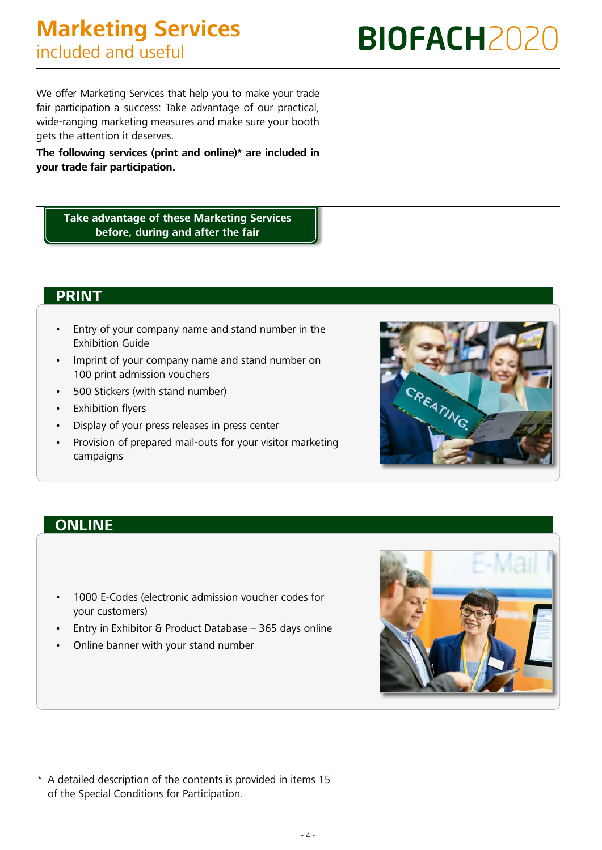We offer Marketing Services that help you to make your trade fair participation a success: Take advantage of our practical, wide-ranging marketing measures and make sure your booth gets the attention it deserves.

**The following services (print and online)\* are included in your trade fair participation.**

**Take advantage of these Marketing Services before, during and after the fair**

## **PRINT**

- Entry of your company name and stand number in the Exhibition Guide
- Imprint of your company name and stand number on 100 print admission vouchers
- 500 Stickers (with stand number)
- Exhibition flyers
- Display of your press releases in press center
- Provision of prepared mail-outs for your visitor marketing campaigns



# **ONLINE**

- 1000 E-Codes (electronic admission voucher codes for your customers)
- Entry in Exhibitor & Product Database 365 days online
- Online banner with your stand number



\* A detailed description of the contents is provided in items 15 of the Special Conditions for Participation.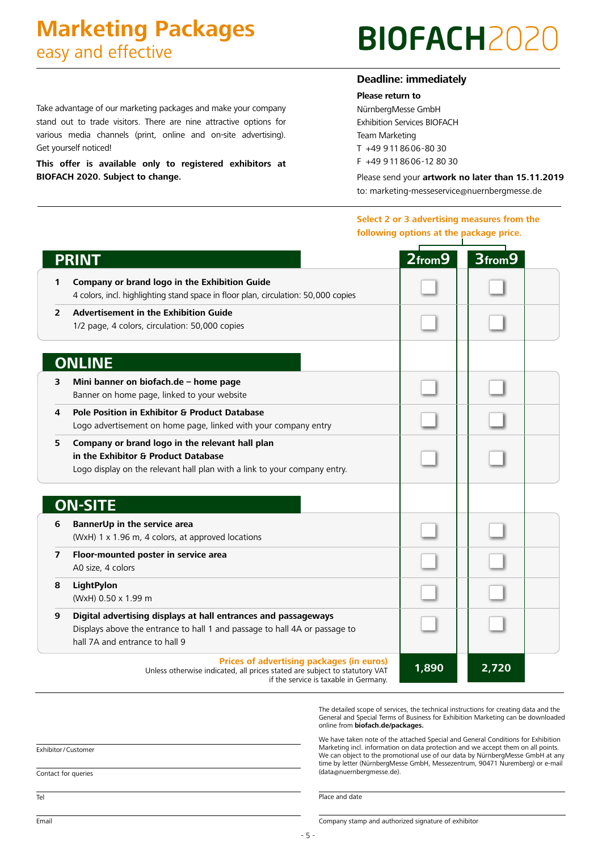# **Marketing Packages** easy and effective

Get yourself noticed!

**BIOFACH 2020. Subject to change.**

Take advantage of our marketing packages and make your company stand out to trade visitors. There are nine attractive options for various media channels (print, online and on-site advertising).

**This offer is available only to registered exhibitors at** 

# **BIOFACH20**

## **Deadline: immediately**

**Please return to**

NürnbergMesse GmbH Exhibition Services BIOFACH Team Marketing T +49 9 11 86 06-80 30 F +49 9 11 86 06-12 80 30

> Please send your **artwork no later than 15.11.2019**  to: marketing-messeservice@nuernbergmesse.de

**Select 2 or 3 advertising measures from the following options at the package price.**

|   | <b>PRINT</b>                                                                                                                                                                   | $2$ from $9$ | 3from9 |  |
|---|--------------------------------------------------------------------------------------------------------------------------------------------------------------------------------|--------------|--------|--|
| 1 | Company or brand logo in the Exhibition Guide<br>4 colors, incl. highlighting stand space in floor plan, circulation: 50,000 copies                                            |              |        |  |
| 2 | <b>Advertisement in the Exhibition Guide</b><br>1/2 page, 4 colors, circulation: 50,000 copies                                                                                 |              |        |  |
|   | <b>ONLINE</b>                                                                                                                                                                  |              |        |  |
| 3 | Mini banner on biofach.de - home page<br>Banner on home page, linked to your website                                                                                           |              |        |  |
| 4 | <b>Pole Position in Exhibitor &amp; Product Database</b><br>Logo advertisement on home page, linked with your company entry                                                    |              |        |  |
| 5 | Company or brand logo in the relevant hall plan<br>in the Exhibitor & Product Database<br>Logo display on the relevant hall plan with a link to your company entry.            |              |        |  |
|   | <b>ON-SITE</b>                                                                                                                                                                 |              |        |  |
| 6 | BannerUp in the service area<br>(WxH) 1 x 1.96 m, 4 colors, at approved locations                                                                                              |              |        |  |
| 7 | Floor-mounted poster in service area<br>A0 size, 4 colors                                                                                                                      |              |        |  |
| 8 | LightPylon<br>(WxH) 0.50 x 1.99 m                                                                                                                                              |              |        |  |
| 9 | Digital advertising displays at hall entrances and passageways<br>Displays above the entrance to hall 1 and passage to hall 4A or passage to<br>hall 7A and entrance to hall 9 |              |        |  |
|   | Prices of advertising packages (in euros)<br>Unless otherwise indicated, all prices stated are subject to statutory VAT<br>if the service is taxable in Germany.               | 1,890        | 2,720  |  |

The detailed scope of services, the technical instructions for creating data and the General and Special Terms of Business for Exhibition Marketing can be downloaded online from **biofach.de/packages.**

We have taken note of the attached Special and General Conditions for Exhibition Marketing incl. information on data protection and we accept them on all points. We can object to the promotional use of our data by NürnbergMesse GmbH at any time by letter (NürnbergMesse GmbH, Messezentrum, 90471 Nuremberg) or e-mail (data@nuernbergmesse.de).

Exhibitor / Customer

Contact for queries

Place and date

Email

Company stamp and authorized signature of exhibitor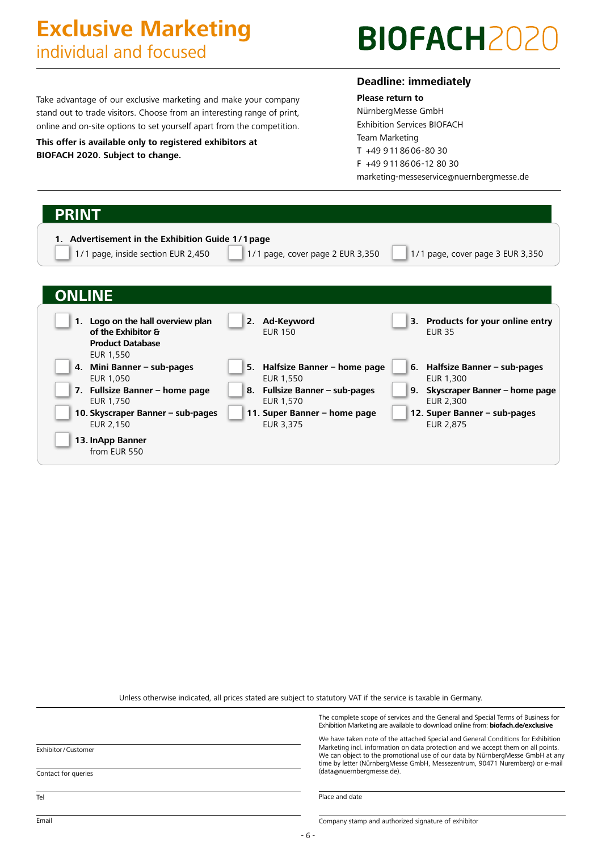# **Exclusive Marketing** individual and focused

# **BIOFACH2020**

Take advantage of our exclusive marketing and make your company stand out to trade visitors. Choose from an interesting range of print, online and on-site options to set yourself apart from the competition.

**This offer is available only to registered exhibitors at BIOFACH 2020. Subject to change.**

## **Deadline: immediately**

**Please return to** NürnbergMesse GmbH Exhibition Services BIOFACH Team Marketing T +49 9 11 86 06-80 30 F +49 9 11 86 06-12 80 30 marketing-messeservice@nuernbergmesse.de

| <b>PRINT</b><br>1. Advertisement in the Exhibition Guide 1/1 page<br>1/1 page, inside section EUR 2,450 | 1/1 page, cover page 2 EUR 3,350               | 1/1 page, cover page 3 EUR 3,350                   |
|---------------------------------------------------------------------------------------------------------|------------------------------------------------|----------------------------------------------------|
| <b>ONLINE</b>                                                                                           |                                                |                                                    |
| 1. Logo on the hall overview plan<br>of the Exhibitor &<br><b>Product Database</b><br>EUR 1,550         | 2. Ad-Keyword<br><b>EUR 150</b>                | 3. Products for your online entry<br><b>EUR 35</b> |
| 4. Mini Banner – sub-pages<br>EUR 1,050                                                                 | 5. Halfsize Banner – home page<br>EUR 1,550    | Halfsize Banner – sub-pages<br>6.<br>EUR 1,300     |
| 7. Fullsize Banner - home page<br>EUR 1,750                                                             | Fullsize Banner - sub-pages<br>8.<br>EUR 1,570 | Skyscraper Banner - home page<br>9.<br>EUR 2,300   |
| 10. Skyscraper Banner - sub-pages                                                                       | 11. Super Banner - home page                   | 12. Super Banner – sub-pages                       |

Unless otherwise indicated, all prices stated are subject to statutory VAT if the service is taxable in Germany.

|                     | The complete scope of services and the General and Special Terms of Business for<br>Exhibition Marketing are available to download online from: biofach.de/exclusive                                                                                                                                                                  |
|---------------------|---------------------------------------------------------------------------------------------------------------------------------------------------------------------------------------------------------------------------------------------------------------------------------------------------------------------------------------|
| Exhibitor/Customer  | We have taken note of the attached Special and General Conditions for Exhibition<br>Marketing incl. information on data protection and we accept them on all points.<br>We can object to the promotional use of our data by NürnbergMesse GmbH at any<br>time by letter (NürnbergMesse GmbH, Messezentrum, 90471 Nuremberg) or e-mail |
| Contact for queries | (data@nuernbergmesse.de).                                                                                                                                                                                                                                                                                                             |
| Tel                 | Place and date                                                                                                                                                                                                                                                                                                                        |
| Email               | Company stamp and authorized signature of exhibitor                                                                                                                                                                                                                                                                                   |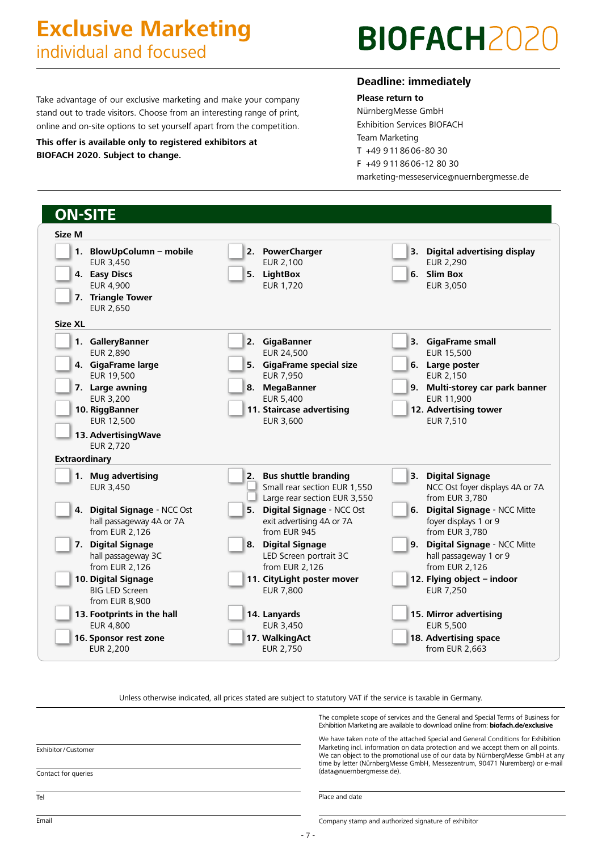# **Exclusive Marketing** individual and focused

# **BIOFACH202**

Take advantage of our exclusive marketing and make your company stand out to trade visitors. Choose from an interesting range of print, online and on-site options to set yourself apart from the competition.

**This offer is available only to registered exhibitors at BIOFACH 2020. Subject to change.**

## **Deadline: immediately**

**Please return to** NürnbergMesse GmbH Exhibition Services BIOFACH Team Marketing T +49 9 11 86 06-80 30 F +49 9 11 86 06-12 80 30 marketing-messeservice@nuernbergmesse.de

| <b>ON-SITE</b>                                                                                                                                  |                                                                                                                                                      |                                                                                                                                                                   |
|-------------------------------------------------------------------------------------------------------------------------------------------------|------------------------------------------------------------------------------------------------------------------------------------------------------|-------------------------------------------------------------------------------------------------------------------------------------------------------------------|
| Size M                                                                                                                                          |                                                                                                                                                      |                                                                                                                                                                   |
| 1. BlowUpColumn - mobile<br>EUR 3,450<br>4. Easy Discs<br><b>EUR 4,900</b><br>7. Triangle Tower<br>EUR 2,650                                    | 2. PowerCharger<br>EUR 2,100<br>5. LightBox<br><b>EUR 1,720</b>                                                                                      | 3. Digital advertising display<br><b>EUR 2,290</b><br>6. Slim Box<br>EUR 3,050                                                                                    |
| Size XL                                                                                                                                         |                                                                                                                                                      |                                                                                                                                                                   |
| 1. GalleryBanner<br><b>EUR 2,890</b><br>4. GigaFrame large<br>EUR 19,500<br>7. Large awning<br><b>EUR 3,200</b><br>10. RiggBanner<br>EUR 12,500 | 2. GigaBanner<br>EUR 24,500<br>5. GigaFrame special size<br>EUR 7,950<br>8. MegaBanner<br>EUR 5,400<br>11. Staircase advertising<br><b>EUR 3,600</b> | 3. GigaFrame small<br>EUR 15,500<br>6. Large poster<br>EUR 2,150<br>Multi-storey car park banner<br>9.<br>EUR 11,900<br>12. Advertising tower<br><b>EUR 7,510</b> |
| 13. Advertising Wave<br><b>EUR 2,720</b><br><b>Extraordinary</b>                                                                                |                                                                                                                                                      |                                                                                                                                                                   |
| 1. Mug advertising<br>EUR 3,450                                                                                                                 | 2. Bus shuttle branding<br>Small rear section EUR 1,550<br>Large rear section EUR 3,550                                                              | <b>Digital Signage</b><br>3.<br>NCC Ost foyer displays 4A or 7A<br>from EUR 3,780                                                                                 |
| 4. Digital Signage - NCC Ost<br>hall passageway 4A or 7A<br>from EUR 2,126                                                                      | 5. Digital Signage - NCC Ost<br>exit advertising 4A or 7A<br>from EUR 945                                                                            | Digital Signage - NCC Mitte<br>6.<br>foyer displays 1 or 9<br>from EUR 3,780                                                                                      |
| 7. Digital Signage<br>hall passageway 3C<br>from EUR 2,126                                                                                      | 8. Digital Signage<br>LED Screen portrait 3C<br>from EUR 2,126                                                                                       | Digital Signage - NCC Mitte<br>9.<br>hall passageway 1 or 9<br>from EUR 2,126                                                                                     |
| 10. Digital Signage<br><b>BIG LED Screen</b><br>from EUR 8,900                                                                                  | 11. CityLight poster mover<br><b>EUR 7,800</b>                                                                                                       | 12. Flying object - indoor<br><b>EUR 7,250</b>                                                                                                                    |
| 13. Footprints in the hall<br><b>EUR 4,800</b>                                                                                                  | 14. Lanyards<br>EUR 3,450                                                                                                                            | 15. Mirror advertising<br><b>EUR 5,500</b>                                                                                                                        |
| 16. Sponsor rest zone<br><b>EUR 2,200</b>                                                                                                       | 17. WalkingAct<br><b>EUR 2,750</b>                                                                                                                   | 18. Advertising space<br>from EUR 2,663                                                                                                                           |

Unless otherwise indicated, all prices stated are subject to statutory VAT if the service is taxable in Germany.

The complete scope of services and the General and Special Terms of Business for Exhibition Marketing are available to download online from: **biofach.de/exclusive**

We have taken note of the attached Special and General Conditions for Exhibition Marketing incl. information on data protection and we accept them on all points. We can object to the promotional use of our data by NürnbergMesse GmbH at any time by letter (NürnbergMesse GmbH, Messezentrum, 90471 Nuremberg) or e-mail (data@nuernbergmesse.de).

Place and date

Exhibitor / Customer

Contact for queries

Tel

Company stamp and authorized signature of exhibitor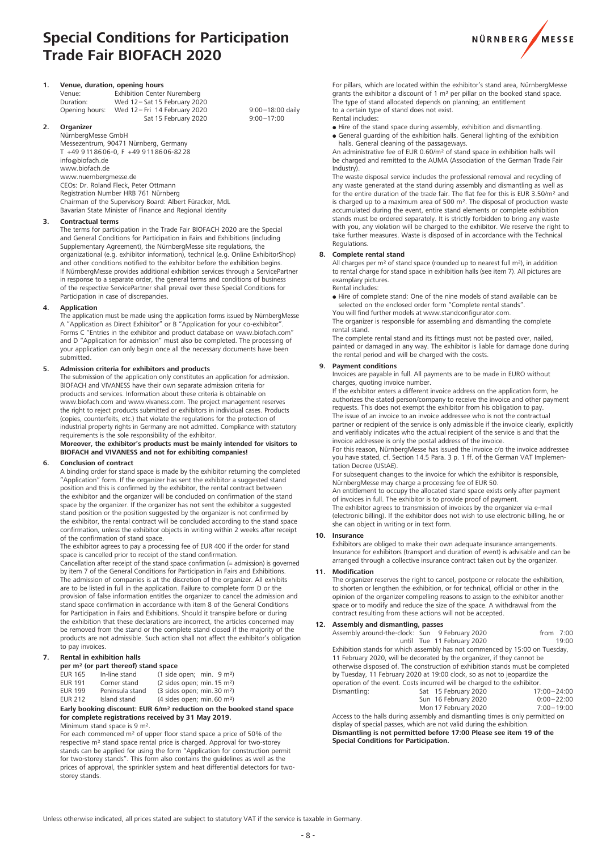# **Special Conditions for Participation Trade Fair BIOFACH 2020**



| 1.            | Venue, duration, opening hours |                                    |  |  |
|---------------|--------------------------------|------------------------------------|--|--|
|               | Venue:                         | <b>Exhibition Center Nuremberg</b> |  |  |
|               | Duration:                      | Wed 12-Sat 15 February 2020        |  |  |
|               | Opening hours:                 | Wed 12-Fri 14 February 2020        |  |  |
|               |                                | Sat 15 February 2020               |  |  |
| $\mathcal{P}$ | Organizer                      |                                    |  |  |

#### **2. Organizer**

NürnbergMesse GmbH Messezentrum, 90471 Nürnberg, Germany T +49 9118606-0, F +49 9118606-8228 info@biofach.de www.biofach.de www.nuernbergmesse.de CEOs: Dr. Roland Fleck, Peter Ottmann Registration Number HRB 761 Nürnberg Chairman of the Supervisory Board: Albert Füracker, MdL Bavarian State Minister of Finance and Regional Identity

#### **3. Contractual terms**

The terms for participation in the Trade Fair BIOFACH 2020 are the Special and General Conditions for Participation in Fairs and Exhibitions (including Supplementary Agreement), the NürnbergMesse site regulations, the organizational (e.g. exhibitor information), technical (e.g. Online ExhibitorShop) and other conditions notified to the exhibitor before the exhibition begins. If NürnbergMesse provides additional exhibition services through a ServicePartner in response to a separate order, the general terms and conditions of business of the respective ServicePartner shall prevail over these Special Conditions for Participation in case of discrepancies.

#### **4. Application**

The application must be made using the application forms issued by NürnbergMesse A "Application as Direct Exhibitor" or B "Application for your co-exhibitor". Forms C "Entries in the exhibitor and product database on www.biofach.com" and D "Application for admission" must also be completed. The processing of your application can only begin once all the necessary documents have been submitted.

#### **5. Admission criteria for exhibitors and products**

The submission of the application only constitutes an application for admission. BIOFACH and VIVANESS have their own separate admission criteria for products and services. Information about these criteria is obtainable on www.biofach.com and www.vivaness.com. The project management reserves the right to reject products submitted or exhibitors in individual cases. Products (copies, counterfeits, etc.) that violate the regulations for the protection of industrial property rights in Germany are not admitted. Compliance with statutory requirements is the sole responsibility of the exhibitor.

**Moreover, the exhibitor's products must be mainly intended for visitors to BIOFACH and VIVANESS and not for exhibiting companies!**

#### **6. Conclusion of contract**

A binding order for stand space is made by the exhibitor returning the completed "Application" form. If the organizer has sent the exhibitor a suggested stand position and this is confirmed by the exhibitor, the rental contract between the exhibitor and the organizer will be concluded on confirmation of the stand space by the organizer. If the organizer has not sent the exhibitor a suggested stand position or the position suggested by the organizer is not confirmed by the exhibitor, the rental contract will be concluded according to the stand space confirmation, unless the exhibitor objects in writing within 2 weeks after receipt of the confirmation of stand space.

The exhibitor agrees to pay a processing fee of EUR 400 if the order for stand space is cancelled prior to receipt of the stand confirmation.

Cancellation after receipt of the stand space confirmation (= admission) is governed by item 7 of the General Conditions for Participation in Fairs and Exhibitions. The admission of companies is at the discretion of the organizer. All exhibits are to be listed in full in the application. Failure to complete form D or the provision of false information entitles the organizer to cancel the admission and stand space confirmation in accordance with item 8 of the General Conditions for Participation in Fairs and Exhibitions. Should it transpire before or during the exhibition that these declarations are incorrect, the articles concerned may be removed from the stand or the complete stand closed if the majority of the products are not admissible. Such action shall not affect the exhibitor's obligation to pay invoices.

#### **7. Rental in exhibition halls**

#### **per m² (or part thereof) stand space**

| EUR 165        | In-line stand   | $(1 \text{ side open}; \text{ min. } 9 \text{ m}^2)$  |
|----------------|-----------------|-------------------------------------------------------|
| <b>EUR 191</b> | Corner stand    | $(2 \text{ sides open}; \text{min. } 15 \text{ m}^2)$ |
| <b>EUR 199</b> | Peninsula stand | (3 sides open; min. 30 m <sup>2</sup> )               |
| EUR 212        | Island stand    | $(4 \text{ sides open}; \text{min. 60 m}^2)$          |

#### **Early booking discount: EUR 6/m² reduction on the booked stand space for complete registrations received by 31 May 2019.** Minimum stand space is 9 m².

For each commenced m² of upper floor stand space a price of 50% of the respective m² stand space rental price is charged. Approval for two-storey stands can be applied for using the form "Application for construction permit for two-storey stands". This form also contains the guidelines as well as the prices of approval, the sprinkler system and heat differential detectors for twostorey stands.

For pillars, which are located within the exhibitor's stand area, NürnbergMesse grants the exhibitor a discount of 1 m<sup>2</sup> per pillar on the booked stand space. The type of stand allocated depends on planning; an entitlement to a certain type of stand does not exist.

Rental includes:

9:00-18:00 daily  $9:00 - 17:00$ 

 Hire of the stand space during assembly, exhibition and dismantling. General guarding of the exhibition halls. General lighting of the exhibition halls. General cleaning of the passageways.

An administrative fee of EUR 0.60/m² of stand space in exhibition halls will be charged and remitted to the AUMA (Association of the German Trade Fair Industry).

The waste disposal service includes the professional removal and recycling of any waste generated at the stand during assembly and dismantling as well as for the entire duration of the trade fair. The flat fee for this is EUR 3.50/m² and is charged up to a maximum area of 500 m². The disposal of production waste accumulated during the event, entire stand elements or complete exhibition stands must be ordered separately. It is strictly forbidden to bring any waste with you, any violation will be charged to the exhibitor. We reserve the right to take further measures. Waste is disposed of in accordance with the Technical Regulations.

#### **8. Complete rental stand**

All charges per m² of stand space (rounded up to nearest full m²), in addition to rental charge for stand space in exhibition halls (see item 7). All pictures are examplary pictures.

Rental includes:

 Hire of complete stand: One of the nine models of stand available can be selected on the enclosed order form "Complete rental stands".

You will find further models at www.standconfigurator.com.

The organizer is responsible for assembling and dismantling the complete rental stand.

The complete rental stand and its fittings must not be pasted over, nailed, painted or damaged in any way. The exhibitor is liable for damage done during the rental period and will be charged with the costs.

#### **9. Payment conditions**

Invoices are payable in full. All payments are to be made in EURO without charges, quoting invoice number.

If the exhibitor enters a different invoice address on the application form, he authorizes the stated person/company to receive the invoice and other payment requests. This does not exempt the exhibitor from his obligation to pay. The issue of an invoice to an invoice addressee who is not the contractual partner or recipient of the service is only admissible if the invoice clearly, explicitly and verifiably indicates who the actual recipient of the service is and that the invoice addressee is only the postal address of the invoice.

For this reason, NürnbergMesse has issued the invoice c/o the invoice addressee you have stated, cf. Section 14.5 Para. 3 p. 1 ff. of the German VAT Implementation Decree (UStAE).

For subsequent changes to the invoice for which the exhibitor is responsible, NürnbergMesse may charge a processing fee of EUR 50.

An entitlement to occupy the allocated stand space exists only after payment of invoices in full. The exhibitor is to provide proof of payment.

The exhibitor agrees to transmission of invoices by the organizer via e-mail (electronic billing). If the exhibitor does not wish to use electronic billing, he or she can object in writing or in text form.

#### **10. Insurance**

Exhibitors are obliged to make their own adequate insurance arrangements. Insurance for exhibitors (transport and duration of event) is advisable and can be arranged through a collective insurance contract taken out by the organizer.

#### **11. Modification**

The organizer reserves the right to cancel, postpone or relocate the exhibition, to shorten or lengthen the exhibition, or for technical, official or other in the opinion of the organizer compelling reasons to assign to the exhibitor another space or to modify and reduce the size of the space. A withdrawal from the contract resulting from these actions will not be accepted.

### **12. Assembly and dismantling, passes**

| Assembly around-the-clock: Sun 9 February 2020                                 |  |                            | from $7:00$     |
|--------------------------------------------------------------------------------|--|----------------------------|-----------------|
|                                                                                |  | until Tue 11 February 2020 | 19:00           |
| Exhibition stands for which assembly has not commenced by 15:00 on Tuesday,    |  |                            |                 |
| 11 February 2020, will be decorated by the organizer, if they cannot be        |  |                            |                 |
| otherwise disposed of. The construction of exhibition stands must be completed |  |                            |                 |
| by Tuesday, 11 February 2020 at 19:00 clock, so as not to jeopardize the       |  |                            |                 |
| operation of the event. Costs incurred will be charged to the exhibitor.       |  |                            |                 |
| Dismantling:                                                                   |  | Sat 15 February 2020       | $17:00 - 24:00$ |
|                                                                                |  |                            |                 |

| Sat 15 February 2020 | 17:00-24:00    |
|----------------------|----------------|
| Sun 16 February 2020 | $0:00 - 22:00$ |
| Mon 17 February 2020 | $7:00 - 19:00$ |

Access to the halls during assembly and dismantling times is only permitted on display of special passes, which are not valid during the exhibition. **Dismantling is not permitted before 17:00 Please see item 19 of the Special Conditions for Participation.**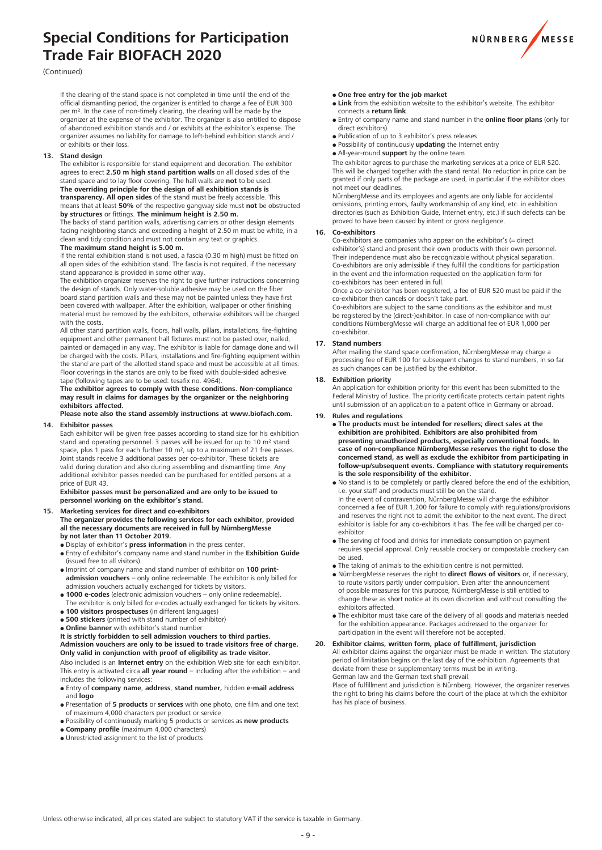# **Special Conditions for Participation Trade Fair BIOFACH 2020**



#### (Continued)

If the clearing of the stand space is not completed in time until the end of the official dismantling period, the organizer is entitled to charge a fee of EUR 300 per m². In the case of non-timely clearing, the clearing will be made by the organizer at the expense of the exhibitor. The organizer is also entitled to dispose of abandoned exhibition stands and / or exhibits at the exhibitor's expense. The organizer assumes no liability for damage to left-behind exhibition stands and / or exhibits or their loss.

#### **13. Stand design**

The exhibitor is responsible for stand equipment and decoration. The exhibitor agrees to erect **2.50 m high stand partition walls** on all closed sides of the stand space and to lay floor covering. The hall walls are **not** to be used. **The overriding principle for the design of all exhibition stands is transparency. All open sides** of the stand must be freely accessible. This means that at least **50%** of the respective gangway side must **not** be obstructed **by structures** or fittings. **The minimum height is 2.50 m.**

#### The backs of stand partition walls, advertising carriers or other design elements facing neighboring stands and exceeding a height of 2.50 m must be white, in a clean and tidy condition and must not contain any text or graphics.

#### **The maximum stand height is 5.00 m.**

If the rental exhibition stand is not used, a fascia (0.30 m high) must be fitted on all open sides of the exhibition stand. The fascia is not required, if the necessary stand appearance is provided in some other way.

The exhibition organizer reserves the right to give further instructions concerning the design of stands. Only water-soluble adhesive may be used on the fiber board stand partition walls and these may not be painted unless they have first been covered with wallpaper. After the exhibition, wallpaper or other finishing material must be removed by the exhibitors, otherwise exhibitors will be charged with the costs

All other stand partition walls, floors, hall walls, pillars, installations, fire-fighting equipment and other permanent hall fixtures must not be pasted over, nailed, painted or damaged in any way. The exhibitor is liable for damage done and will be charged with the costs. Pillars, installations and fire-fighting equipment within the stand are part of the allotted stand space and must be accessible at all times. Floor coverings in the stands are only to be fixed with double-sided adhesive tape (following tapes are to be used: tesafix no. 4964).

**The exhibitor agrees to comply with these conditions. Non-compliance may result in claims for damages by the organizer or the neighboring exhibitors affected.**

#### **Please note also the stand assembly instructions at www.biofach.com. 14. Exhibitor passes**

Each exhibitor will be given free passes according to stand size for his exhibition stand and operating personnel. 3 passes will be issued for up to 10 m² stand space, plus 1 pass for each further 10 m<sup>2</sup>, up to a maximum of 21 free passes. Joint stands receive 3 additional passes per co-exhibitor. These tickets are valid during duration and also during assembling and dismantling time. Any additional exhibitor passes needed can be purchased for entitled persons at a price of EUR 43.

#### **Exhibitor passes must be personalized and are only to be issued to personnel working on the exhibitor's stand.**

#### **15. Marketing services for direct and co-exhibitors**

**The organizer provides the following services for each exhibitor, provided all the necessary documents are received in full by NürnbergMesse by not later than 11 October 2019.**

- Display of exhibitor's **press information** in the press center.
- Entry of exhibitor's company name and stand number in the **Exhibition Guide** (issued free to all visitors).
- Imprint of company name and stand number of exhibitor on **100 printadmission vouchers** – only online redeemable. The exhibitor is only billed for admission vouchers actually exchanged for tickets by visitors.
- **1000 e-codes** (electronic admission vouchers only online redeemable).
- The exhibitor is only billed for e-codes actually exchanged for tickets by visitors. **100 visitors prospectuses** (in different languages)
- **500 stickers** (printed with stand number of exhibitor)
- **Online banner** with exhibitor's stand number
- **It is strictly forbidden to sell admission vouchers to third parties.**

#### **Admission vouchers are only to be issued to trade visitors free of charge. Only valid in conjunction with proof of eligibility as trade visitor.**

Also included is an **Internet entry** on the exhibition Web site for each exhibitor. This entry is activated circa **all year round** – including after the exhibition – and includes the following services:

- Entry of **company name**, **address**, **stand number,** hidden **e-mail address** and **logo**
- Presentation of **5 products** or **services** with one photo, one film and one text of maximum 4,000 characters per product or service
- Possibility of continuously marking 5 products or services as **new products Company profile** (maximum 4,000 characters)
- Unrestricted assignment to the list of products
- **One free entry for the job market**
- **Link** from the exhibition website to the exhibitor's website. The exhibitor connects a **return link**.
- Entry of company name and stand number in the **online floor plans** (only for direct exhibitors)
- Publication of up to 3 exhibitor's press releases
- Possibility of continuously **updating** the Internet entry
- All-year-round **support** by the online team

The exhibitor agrees to purchase the marketing services at a price of EUR 520. This will be charged together with the stand rental. No reduction in price can be granted if only parts of the package are used, in particular if the exhibitor does not meet our deadlines.

NürnbergMesse and its employees and agents are only liable for accidental omissions, printing errors, faulty workmanship of any kind, etc. in exhibition directories (such as Exhibition Guide, Internet entry, etc.) if such defects can be proved to have been caused by intent or gross negligence.

#### **16. Co-exhibitors**

Co-exhibitors are companies who appear on the exhibitor's  $(=$  direct exhibitor's) stand and present their own products with their own personnel. Their independence must also be recognizable without physical separation. Co-exhibitors are only admissible if they fulfill the conditions for participation in the event and the information requested on the application form for co-exhibitors has been entered in full.

Once a co-exhibitor has been registered, a fee of EUR 520 must be paid if the co-exhibitor then cancels or doesn't take part.

Co-exhibitors are subject to the same conditions as the exhibitor and must be registered by the (direct-)exhibitor. In case of non-compliance with our conditions NürnbergMesse will charge an additional fee of EUR 1,000 per co-exhibitor.

#### **17. Stand numbers**

After mailing the stand space confirmation, NürnbergMesse may charge a processing fee of EUR 100 for subsequent changes to stand numbers, in so far as such changes can be justified by the exhibitor.

#### **18. Exhibition priority**

An application for exhibition priority for this event has been submitted to the Federal Ministry of Justice. The priority certificate protects certain patent rights until submission of an application to a patent office in Germany or abroad.

#### **19. Rules and regulations**

- **The products must be intended for resellers; direct sales at the exhibition are prohibited. Exhibitors are also prohibited from presenting unauthorized products, especially conventional foods. In case of non-compliance NürnbergMesse reserves the right to close the concerned stand, as well as exclude the exhibitor from participating in follow-up/subsequent events. Compliance with statutory requirements is the sole responsibility of the exhibitor.**
- No stand is to be completely or partly cleared before the end of the exhibition, i.e. your staff and products must still be on the stand. In the event of contravention, NürnbergMesse will charge the exhibitor concerned a fee of EUR 1,200 for failure to comply with regulations/provisions and reserves the right not to admit the exhibitor to the next event. The direct exhibitor is liable for any co-exhibitors it has. The fee will be charged per coexhibitor.
- The serving of food and drinks for immediate consumption on payment requires special approval. Only reusable crockery or compostable crockery can be used.
- The taking of animals to the exhibition centre is not permitted.
- NürnbergMesse reserves the right to **direct flows of visitors** or, if necessary, to route visitors partly under compulsion. Even after the announcement of possible measures for this purpose, NürnbergMesse is still entitled to change these as short notice at its own discretion and without consulting the exhibitors affected.
- The exhibitor must take care of the delivery of all goods and materials needed for the exhibition appearance. Packages addressed to the organizer for participation in the event will therefore not be accepted.

#### **20. Exhibitor claims, written form, place of fulfillment, jurisdiction**

All exhibitor claims against the organizer must be made in written. The statutory period of limitation begins on the last day of the exhibition. Agreements that deviate from these or supplementary terms must be in writing. German law and the German text shall prevail.

Place of fulfillment and jurisdiction is Nürnberg. However, the organizer reserves the right to bring his claims before the court of the place at which the exhibitor has his place of business.

Unless otherwise indicated, all prices stated are subject to statutory VAT if the service is taxable in Germany.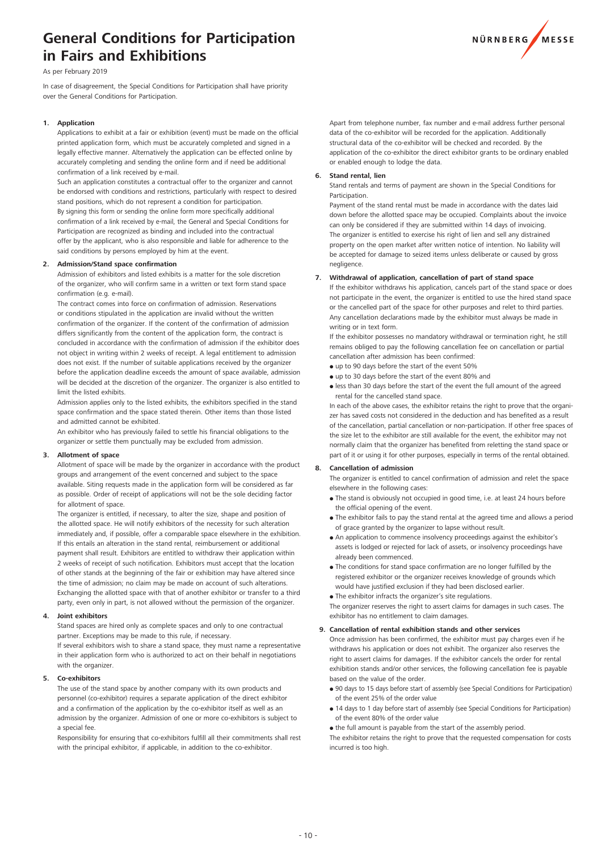# **General Conditions for Participation in Fairs and Exhibitions**



As per February 2019

In case of disagreement, the Special Conditions for Participation shall have priority over the General Conditions for Participation.

#### **1. Application**

Applications to exhibit at a fair or exhibition (event) must be made on the official printed application form, which must be accurately completed and signed in a legally effective manner. Alternatively the application can be effected online by accurately completing and sending the online form and if need be additional confirmation of a link received by e-mail.

Such an application constitutes a contractual offer to the organizer and cannot be endorsed with conditions and restrictions, particularly with respect to desired stand positions, which do not represent a condition for participation. By signing this form or sending the online form more specifically additional confirmation of a link received by e-mail, the General and Special Conditions for Participation are recognized as binding and included into the contractual offer by the applicant, who is also responsible and liable for adherence to the said conditions by persons employed by him at the event.

#### **2. Admission/Stand space confirmation**

Admission of exhibitors and listed exhibits is a matter for the sole discretion of the organizer, who will confirm same in a written or text form stand space confirmation (e.g. e-mail).

The contract comes into force on confirmation of admission. Reservations or conditions stipulated in the application are invalid without the written confirmation of the organizer. If the content of the confirmation of admission differs significantly from the content of the application form, the contract is concluded in accordance with the confirmation of admission if the exhibitor does not object in writing within 2 weeks of receipt. A legal entitlement to admission does not exist. If the number of suitable applications received by the organizer before the application deadline exceeds the amount of space available, admission will be decided at the discretion of the organizer. The organizer is also entitled to limit the listed exhibits.

Admission applies only to the listed exhibits, the exhibitors specified in the stand space confirmation and the space stated therein. Other items than those listed and admitted cannot be exhibited.

An exhibitor who has previously failed to settle his financial obligations to the organizer or settle them punctually may be excluded from admission.

#### **3. Allotment of space**

Allotment of space will be made by the organizer in accordance with the product groups and arrangement of the event concerned and subject to the space available. Siting requests made in the application form will be considered as far as possible. Order of receipt of applications will not be the sole deciding factor for allotment of space.

The organizer is entitled, if necessary, to alter the size, shape and position of the allotted space. He will notify exhibitors of the necessity for such alteration immediately and, if possible, offer a comparable space elsewhere in the exhibition. If this entails an alteration in the stand rental, reimbursement or additional payment shall result. Exhibitors are entitled to withdraw their application within 2 weeks of receipt of such notification. Exhibitors must accept that the location of other stands at the beginning of the fair or exhibition may have altered since the time of admission; no claim may be made on account of such alterations. Exchanging the allotted space with that of another exhibitor or transfer to a third party, even only in part, is not allowed without the permission of the organizer.

#### **4. Joint exhibitors**

Stand spaces are hired only as complete spaces and only to one contractual partner. Exceptions may be made to this rule, if necessary. If several exhibitors wish to share a stand space, they must name a representative in their application form who is authorized to act on their behalf in negotiations with the organizer.

#### **5. Co-exhibitors**

The use of the stand space by another company with its own products and personnel (co-exhibitor) requires a separate application of the direct exhibitor and a confirmation of the application by the co-exhibitor itself as well as an admission by the organizer. Admission of one or more co-exhibitors is subject to a special fee.

Responsibility for ensuring that co-exhibitors fulfill all their commitments shall rest with the principal exhibitor, if applicable, in addition to the co-exhibitor.

 Apart from telephone number, fax number and e-mail address further personal data of the co-exhibitor will be recorded for the application. Additionally structural data of the co-exhibitor will be checked and recorded. By the application of the co-exhibitor the direct exhibitor grants to be ordinary enabled or enabled enough to lodge the data.

#### **Stand rental, lien**

Stand rentals and terms of payment are shown in the Special Conditions for Participation.

Payment of the stand rental must be made in accordance with the dates laid down before the allotted space may be occupied. Complaints about the invoice can only be considered if they are submitted within 14 days of invoicing. The organizer is entitled to exercise his right of lien and sell any distrained property on the open market after written notice of intention. No liability will be accepted for damage to seized items unless deliberate or caused by gross negligence.

#### **7. Withdrawal of application, cancellation of part of stand space**

If the exhibitor withdraws his application, cancels part of the stand space or does not participate in the event, the organizer is entitled to use the hired stand space or the cancelled part of the space for other purposes and relet to third parties. Any cancellation declarations made by the exhibitor must always be made in writing or in text form.

 If the exhibitor possesses no mandatory withdrawal or termination right, he still remains obliged to pay the following cancellation fee on cancellation or partial cancellation after admission has been confirmed:

- up to 90 days before the start of the event 50%
- up to 30 days before the start of the event 80% and
- less than 30 days before the start of the event the full amount of the agreed rental for the cancelled stand space.

In each of the above cases, the exhibitor retains the right to prove that the organizer has saved costs not considered in the deduction and has benefited as a result of the cancellation, partial cancellation or non-participation. If other free spaces of the size let to the exhibitor are still available for the event, the exhibitor may not normally claim that the organizer has benefited from reletting the stand space or part of it or using it for other purposes, especially in terms of the rental obtained.

#### **8. Cancellation of admission**

The organizer is entitled to cancel confirmation of admission and relet the space elsewhere in the following cases:

- The stand is obviously not occupied in good time, i.e. at least 24 hours before the official opening of the event.
- The exhibitor fails to pay the stand rental at the agreed time and allows a period of grace granted by the organizer to lapse without result.
- An application to commence insolvency proceedings against the exhibitor's assets is lodged or rejected for lack of assets, or insolvency proceedings have already been commenced.
- The conditions for stand space confirmation are no longer fulfilled by the registered exhibitor or the organizer receives knowledge of grounds which would have justified exclusion if they had been disclosed earlier.
- The exhibitor infracts the organizer's site regulations.

The organizer reserves the right to assert claims for damages in such cases. The exhibitor has no entitlement to claim damages.

#### **9. Cancellation of rental exhibition stands and other services**

Once admission has been confirmed, the exhibitor must pay charges even if he withdraws his application or does not exhibit. The organizer also reserves the right to assert claims for damages. If the exhibitor cancels the order for rental exhibition stands and/or other services, the following cancellation fee is payable based on the value of the order.

- 90 days to 15 days before start of assembly (see Special Conditions for Participation) of the event 25% of the order value
- 14 days to 1 day before start of assembly (see Special Conditions for Participation) of the event 80% of the order value
- the full amount is payable from the start of the assembly period.

The exhibitor retains the right to prove that the requested compensation for costs incurred is too high.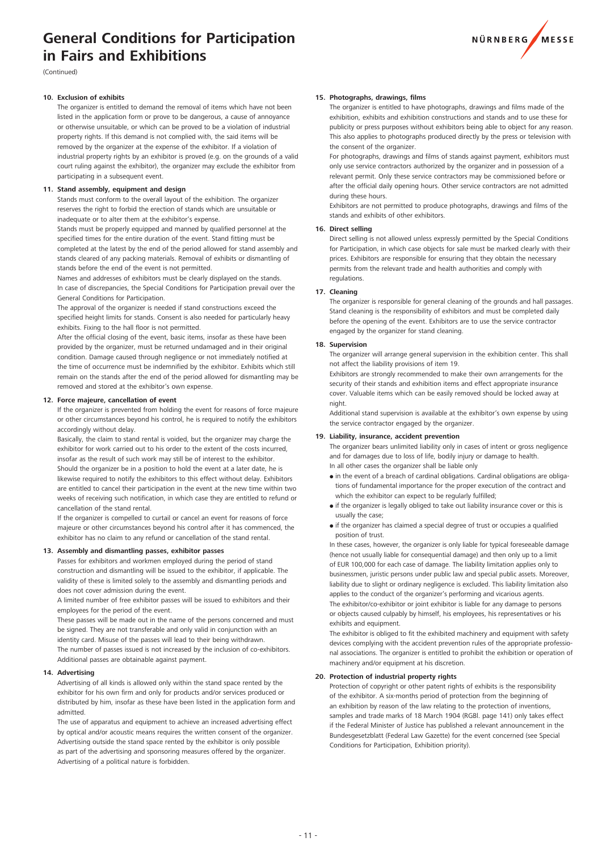# **General Conditions for Participation in Fairs and Exhibitions**



(Continued)

#### 10. **Exclusion of exhibits**

The organizer is entitled to demand the removal of items which have not been listed in the application form or prove to be dangerous, a cause of annoyance or otherwise unsuitable, or which can be proved to be a violation of industrial property rights. If this demand is not complied with, the said items will be removed by the organizer at the expense of the exhibitor. If a violation of industrial property rights by an exhibitor is proved (e.g. on the grounds of a valid court ruling against the exhibitor), the organizer may exclude the exhibitor from participating in a subsequent event.

#### 11. Stand assembly, equipment and design

Stands must conform to the overall layout of the exhibition. The organizer reserves the right to forbid the erection of stands which are unsuitable or inadequate or to alter them at the exhibitor's expense.

Stands must be properly equipped and manned by qualified personnel at the specified times for the entire duration of the event. Stand fitting must be completed at the latest by the end of the period allowed for stand assembly and stands cleared of any packing materials. Removal of exhibits or dismantling of stands before the end of the event is not permitted.

Names and addresses of exhibitors must be clearly displayed on the stands. In case of discrepancies, the Special Conditions for Participation prevail over the General Conditions for Participation.

The approval of the organizer is needed if stand constructions exceed the specified height limits for stands. Consent is also needed for particularly heavy exhibits. Fixing to the hall floor is not permitted.

 After the official closing of the event, basic items, insofar as these have been provided by the organizer, must be returned undamaged and in their original condition. Damage caused through negligence or not immediately notified at the time of occurrence must be indemnified by the exhibitor. Exhibits which still remain on the stands after the end of the period allowed for dismantling may be removed and stored at the exhibitor's own expense.

#### 12. Force majeure, cancellation of event

If the organizer is prevented from holding the event for reasons of force majeure or other circumstances beyond his control, he is required to notify the exhibitors accordingly without delay.

Basically, the claim to stand rental is voided, but the organizer may charge the exhibitor for work carried out to his order to the extent of the costs incurred, insofar as the result of such work may still be of interest to the exhibitor. Should the organizer be in a position to hold the event at a later date, he is likewise required to notify the exhibitors to this effect without delay. Exhibitors are entitled to cancel their participation in the event at the new time within two weeks of receiving such notification, in which case they are entitled to refund or cancellation of the stand rental.

If the organizer is compelled to curtail or cancel an event for reasons of force majeure or other circumstances beyond his control after it has commenced, the exhibitor has no claim to any refund or cancellation of the stand rental.

## **13. Assembly and dismantling passes, exhibitor passes**

Passes for exhibitors and workmen employed during the period of stand construction and dismantling will be issued to the exhibitor, if applicable. The validity of these is limited solely to the assembly and dismantling periods and does not cover admission during the event.

A limited number of free exhibitor passes will be issued to exhibitors and their employees for the period of the event.

These passes will be made out in the name of the persons concerned and must be signed. They are not transferable and only valid in conjunction with an identity card. Misuse of the passes will lead to their being withdrawn. The number of passes issued is not increased by the inclusion of co-exhibitors. Additional passes are obtainable against payment.

#### **14. Advertising**

Advertising of all kinds is allowed only within the stand space rented by the exhibitor for his own firm and only for products and/or services produced or distributed by him, insofar as these have been listed in the application form and admitted.

The use of apparatus and equipment to achieve an increased advertising effect by optical and/or acoustic means requires the written consent of the organizer. Advertising outside the stand space rented by the exhibitor is only possible as part of the advertising and sponsoring measures offered by the organizer. Advertising of a political nature is forbidden.

#### 15. Photographs, drawings, films

The organizer is entitled to have photographs, drawings and films made of the exhibition, exhibits and exhibition constructions and stands and to use these for publicity or press purposes without exhibitors being able to object for any reason. This also applies to photographs produced directly by the press or television with the consent of the organizer.

For photographs, drawings and films of stands against payment, exhibitors must only use service contractors authorized by the organizer and in possession of a relevant permit. Only these service contractors may be commissioned before or after the official daily opening hours. Other service contractors are not admitted during these hours.

Exhibitors are not permitted to produce photographs, drawings and films of the stands and exhibits of other exhibitors.

#### **16. Direct selling**

Direct selling is not allowed unless expressly permitted by the Special Conditions for Participation, in which case objects for sale must be marked clearly with their prices. Exhibitors are responsible for ensuring that they obtain the necessary permits from the relevant trade and health authorities and comply with regulations.

#### **17. Cleaning**

The organizer is responsible for general cleaning of the grounds and hall passages. Stand cleaning is the responsibility of exhibitors and must be completed daily before the opening of the event. Exhibitors are to use the service contractor engaged by the organizer for stand cleaning.

#### **18. Supervision**

The organizer will arrange general supervision in the exhibition center. This shall not affect the liability provisions of item 19.

 Exhibitors are strongly recommended to make their own arrangements for the security of their stands and exhibition items and effect appropriate insurance cover. Valuable items which can be easily removed should be locked away at night.

Additional stand supervision is available at the exhibitor's own expense by using the service contractor engaged by the organizer.

#### **19. Liability, insurance, accident prevention**

The organizer bears unlimited liability only in cases of intent or gross negligence and for damages due to loss of life, bodily injury or damage to health. In all other cases the organizer shall be liable only

- in the event of a breach of cardinal obligations. Cardinal obligations are obligations of fundamental importance for the proper execution of the contract and which the exhibitor can expect to be regularly fulfilled;
- if the organizer is legally obliged to take out liability insurance cover or this is usually the case;
- if the organizer has claimed a special degree of trust or occupies a qualified position of trust.

In these cases, however, the organizer is only liable for typical foreseeable damage (hence not usually liable for consequential damage) and then only up to a limit of EUR 100,000 for each case of damage. The liability limitation applies only to businessmen, juristic persons under public law and special public assets. Moreover, liability due to slight or ordinary negligence is excluded. This liability limitation also applies to the conduct of the organizer's performing and vicarious agents. The exhibitor/co-exhibitor or joint exhibitor is liable for any damage to persons or objects caused culpably by himself, his employees, his representatives or his exhibits and equipment.

The exhibitor is obliged to fit the exhibited machinery and equipment with safety devices complying with the accident prevention rules of the appropriate professional associations. The organizer is entitled to prohibit the exhibition or operation of machinery and/or equipment at his discretion.

#### **20. Protection of industrial property rights**

Protection of copyright or other patent rights of exhibits is the responsibility of the exhibitor. A six-months period of protection from the beginning of an exhibition by reason of the law relating to the protection of inventions, samples and trade marks of 18 March 1904 (RGBl. page 141) only takes effect if the Federal Minister of Justice has published a relevant announcement in the Bundesgesetzblatt (Federal Law Gazette) for the event concerned (see Special Conditions for Participation, Exhibition priority).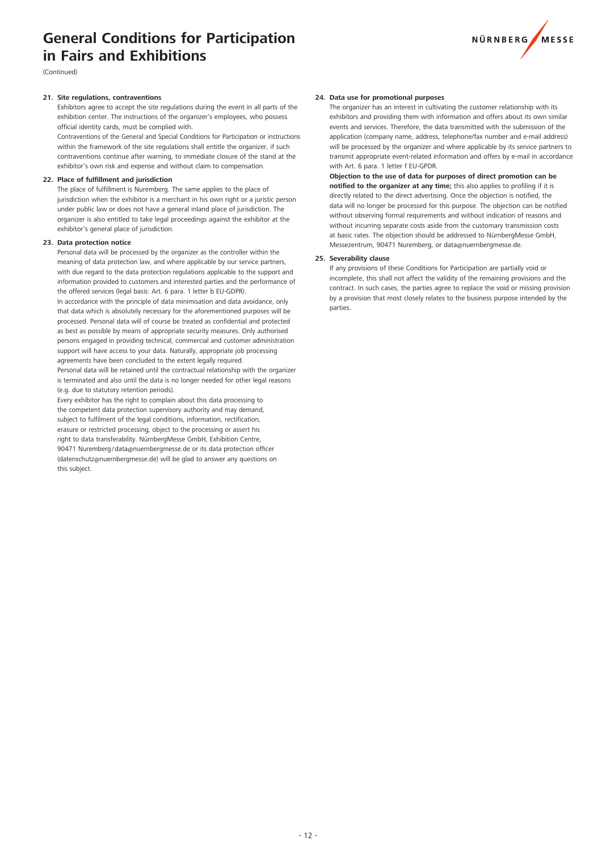# **General Conditions for Participation in Fairs and Exhibitions**



(Continued)

#### **21.** Site regulations, contraventions

Exhibitors agree to accept the site regulations during the event in all parts of the exhibition center. The instructions of the organizer's employees, who possess official identity cards, must be complied with.

Contraventions of the General and Special Conditions for Participation or instructions within the framework of the site regulations shall entitle the organizer, if such contraventions continue after warning, to immediate closure of the stand at the exhibitor's own risk and expense and without claim to compensation.

#### 22. Place of fulfillment and jurisdiction

The place of fulfillment is Nuremberg. The same applies to the place of jurisdiction when the exhibitor is a merchant in his own right or a juristic person under public law or does not have a general inland place of jurisdiction. The organizer is also entitled to take legal proceedings against the exhibitor at the exhibitor's general place of jurisdiction.

#### 23. Data protection potice

Personal data will be processed by the organizer as the controller within the meaning of data protection law, and where applicable by our service partners, with due regard to the data protection regulations applicable to the support and information provided to customers and interested parties and the performance of the offered services (legal basis: Art. 6 para. 1 letter b EU-GDPR).

In accordance with the principle of data minimisation and data avoidance, only that data which is absolutely necessary for the aforementioned purposes will be processed. Personal data will of course be treated as confidential and protected as best as possible by means of appropriate security measures. Only authorised persons engaged in providing technical, commercial and customer administration support will have access to your data. Naturally, appropriate job processing agreements have been concluded to the extent legally required.

Personal data will be retained until the contractual relationship with the organizer is terminated and also until the data is no longer needed for other legal reasons (e.g. due to statutory retention periods).

Every exhibitor has the right to complain about this data processing to the competent data protection supervisory authority and may demand, subject to fulfilment of the legal conditions, information, rectification, erasure or restricted processing, object to the processing or assert his right to data transferability. NürnbergMesse GmbH, Exhibition Centre, 90471 Nuremberg / data@nuernbergmesse.de or its data protection officer (datenschutz@nuernbergmesse.de) will be glad to answer any questions on this subject.

#### **24. Data use for promotional purposes**

The organizer has an interest in cultivating the customer relationship with its exhibitors and providing them with information and offers about its own similar events and services. Therefore, the data transmitted with the submission of the application (company name, address, telephone/fax number and e-mail address) will be processed by the organizer and where applicable by its service partners to transmit appropriate event-related information and offers by e-mail in accordance with Art. 6 para. 1 letter f EU-GPDR.

**Objection to the use of data for purposes of direct promotion can be notified to the organizer at any time;** this also applies to profiling if it is directly related to the direct advertising. Once the objection is notified, the data will no longer be processed for this purpose. The objection can be notified without observing formal requirements and without indication of reasons and without incurring separate costs aside from the customary transmission costs at basic rates. The objection should be addressed to NürnbergMesse GmbH, Messezentrum, 90471 Nuremberg, or data@nuernbergmesse.de.

#### **25. Severability clause**

If any provisions of these Conditions for Participation are partially void or incomplete, this shall not affect the validity of the remaining provisions and the contract. In such cases, the parties agree to replace the void or missing provision by a provision that most closely relates to the business purpose intended by the parties.